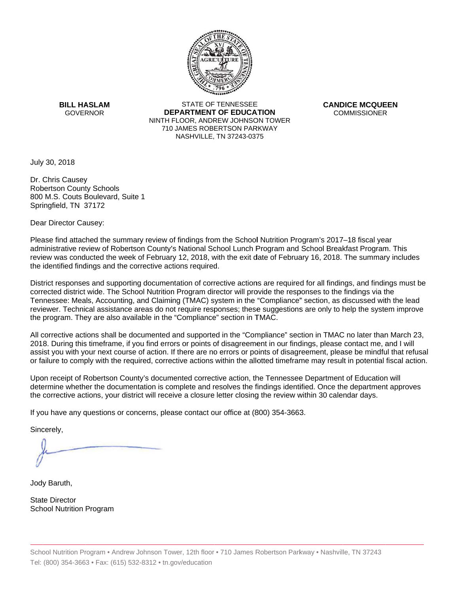

**BILL HASLAM** GOVERNOR **DEI** 

STATE OF TENNESSEE **EPARTMENT OF EDUCATION** NINTH FLOOR, ANDREW JOHNSON TOWER 710 JAMES ROBERTSON PARKWAY NASHVILLE,TN 37243-0375

**CANDICE MCQUEEN** CO OMMISSIONER

July 30, 2018

Dr. Chris Causey Robertson County Schools 800M.S. Couts Boulevard, Suite 1 Springfield, TN 37172

Dear Director Causey:

Please find attached the summary review of findings from the School Nutrition Program's 2017–18 fiscal year administrative review of Robertson County's National School Lunch Program and School Breakfast Program. This review was conducted the week of February 12, 2018, with the exit date of February 16, 2018. The summary includes the identified findings and the corrective actions required.

Tennessee: Meals, Accounting, and Claiming (TMAC) system in the "Compliance" section, as discussed with the lead District responses and supporting documentation of corrective actions are required for all findings, and findings must be corrected district wide. The School Nutrition Program director will provide the responses to the findings via the reviewer. Technical assistance areas do not require responses; these suggestions are only to help the system improve the program. They are also available in the "Compliance" section in TMAC.

All corrective actions shall be documented and supported in the "Compliance" section in TMAC no later than March 23, 2018. During this timeframe, if you find errors or points of disagreement in our findings, please contact me, and I will assist you with your next course of action. If there are no errors or points of disagreement, please be mindful that refusal or failure to comply with the required, corrective actions within the allotted timeframe may result in potential fiscal action.

Upon receipt of Robertson County's documented corrective action, the Tennessee Department of Education will determine whether the documentation is complete and resolves the findings identified. Once the department approves the corrective actions, your district will receive a closure letter closing the review within 30 calendar days.

If you have any questions or concerns, please contact our office at (800) 354-3663.

Sincerely,

Jody Baruth,

State Director School Nutrition Program